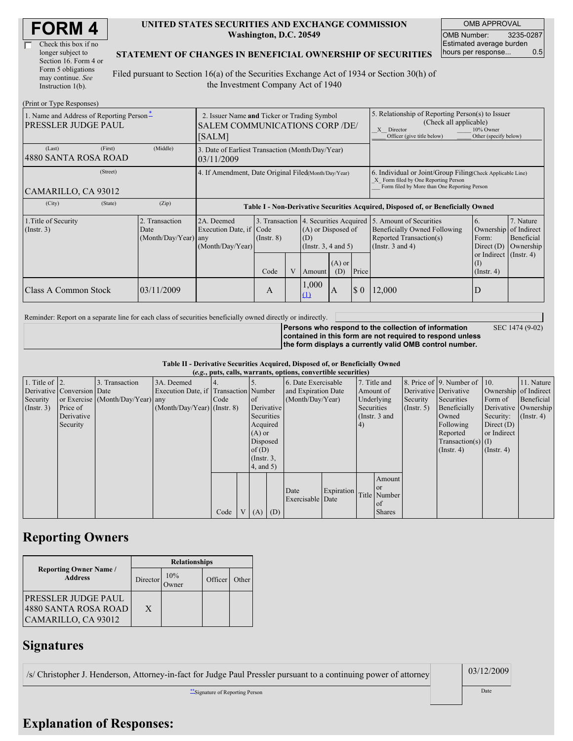| <b>FORM4</b> |
|--------------|
|--------------|

| Check this box if no  |
|-----------------------|
| longer subject to     |
| Section 16. Form 4 or |
| Form 5 obligations    |
| may continue. See     |
| Instruction 1(b).     |

#### **UNITED STATES SECURITIES AND EXCHANGE COMMISSION Washington, D.C. 20549**

OMB APPROVAL OMB Number: 3235-0287 Estimated average burden hours per response... 0.5

SEC 1474 (9-02)

#### **STATEMENT OF CHANGES IN BENEFICIAL OWNERSHIP OF SECURITIES**

Filed pursuant to Section 16(a) of the Securities Exchange Act of 1934 or Section 30(h) of the Investment Company Act of 1940

| (Print or Type Responses)                                              |                                                      |                                                                                                |                         |  |                                                                                                                         |                                                                                                                                                    |                             |                                                                                                                                                              |                                                                                                                      |                                      |  |
|------------------------------------------------------------------------|------------------------------------------------------|------------------------------------------------------------------------------------------------|-------------------------|--|-------------------------------------------------------------------------------------------------------------------------|----------------------------------------------------------------------------------------------------------------------------------------------------|-----------------------------|--------------------------------------------------------------------------------------------------------------------------------------------------------------|----------------------------------------------------------------------------------------------------------------------|--------------------------------------|--|
| 1. Name and Address of Reporting Person-<br><b>PRESSLER JUDGE PAUL</b> |                                                      | 2. Issuer Name and Ticker or Trading Symbol<br><b>SALEM COMMUNICATIONS CORP /DE/</b><br>[SALM] |                         |  |                                                                                                                         |                                                                                                                                                    |                             | 5. Relationship of Reporting Person(s) to Issuer<br>(Check all applicable)<br>10% Owner<br>X Director<br>Officer (give title below)<br>Other (specify below) |                                                                                                                      |                                      |  |
| (First)<br>(Last)<br>14880 SANTA ROSA ROAD                             | (Middle)                                             | 3. Date of Earliest Transaction (Month/Day/Year)<br>03/11/2009                                 |                         |  |                                                                                                                         |                                                                                                                                                    |                             |                                                                                                                                                              |                                                                                                                      |                                      |  |
| (Street)<br> CAMARILLO, CA 93012                                       | 4. If Amendment, Date Original Filed(Month/Day/Year) |                                                                                                |                         |  |                                                                                                                         | 6. Individual or Joint/Group Filing Check Applicable Line)<br>X Form filed by One Reporting Person<br>Form filed by More than One Reporting Person |                             |                                                                                                                                                              |                                                                                                                      |                                      |  |
| (City)<br>(State)                                                      | (Zip)                                                | Table I - Non-Derivative Securities Acquired, Disposed of, or Beneficially Owned               |                         |  |                                                                                                                         |                                                                                                                                                    |                             |                                                                                                                                                              |                                                                                                                      |                                      |  |
| 1. Title of Security<br>$($ Instr. 3 $)$                               | 2. Transaction<br>Date<br>(Month/Day/Year) any       | 2A. Deemed<br>Execution Date, if Code<br>(Month/Day/Year)                                      | $($ Instr. $8)$<br>Code |  | 3. Transaction 4. Securities Acquired<br>(A) or Disposed of<br>(D)<br>(Insert. 3, 4 and 5)<br>$(A)$ or<br>(D)<br>Amount |                                                                                                                                                    | Price                       | 5. Amount of Securities<br><b>Beneficially Owned Following</b><br>Reported Transaction(s)<br>(Instr. $3$ and $4$ )                                           | <sup>6.</sup><br>Ownership of Indirect<br>Form:<br>Direct $(D)$<br>or Indirect (Instr. 4)<br>(I)<br>$($ Instr. 4 $)$ | 7. Nature<br>Beneficial<br>Ownership |  |
| IClass A Common Stock                                                  | 03/11/2009                                           |                                                                                                | A                       |  | 1,000<br>(1)                                                                                                            | A                                                                                                                                                  | $\boldsymbol{\mathsf{S}}$ 0 | 12,000                                                                                                                                                       | ID                                                                                                                   |                                      |  |

Reminder: Report on a separate line for each class of securities beneficially owned directly or indirectly.

**Persons who respond to the collection of information contained in this form are not required to respond unless the form displays a currently valid OMB control number.**

**Table II - Derivative Securities Acquired, Disposed of, or Beneficially Owned**

| (e.g., puts, calls, warrants, options, convertible securities) |                            |                                  |                                       |      |                |               |                  |                     |            |               |               |                       |                              |                  |                       |
|----------------------------------------------------------------|----------------------------|----------------------------------|---------------------------------------|------|----------------|---------------|------------------|---------------------|------------|---------------|---------------|-----------------------|------------------------------|------------------|-----------------------|
| 1. Title of $\vert$ 2.                                         |                            | 3. Transaction                   | 3A. Deemed                            |      |                |               |                  | 6. Date Exercisable |            | 7. Title and  |               |                       | 8. Price of 9. Number of 10. |                  | 11. Nature            |
|                                                                | Derivative Conversion Date |                                  | Execution Date, if Transaction Number |      |                |               |                  | and Expiration Date |            | Amount of     |               | Derivative Derivative |                              |                  | Ownership of Indirect |
| Security                                                       |                            | or Exercise (Month/Day/Year) any |                                       | Code |                | <sub>of</sub> |                  | (Month/Day/Year)    |            | Underlying    |               | Security              | Securities                   | Form of          | Beneficial            |
| $($ Instr. 3 $)$                                               | Price of                   |                                  | $(Month/Day/Year)$ (Instr. 8)         |      |                |               | Derivative       |                     |            | Securities    |               | (Insert, 5)           | Beneficially                 |                  | Derivative Ownership  |
|                                                                | Derivative                 |                                  |                                       |      |                | Securities    |                  |                     |            | (Instr. 3 and |               |                       | Owned                        | Security:        | $($ Instr. 4 $)$      |
|                                                                | Security                   |                                  |                                       |      |                | Acquired      |                  |                     |            | (4)           |               |                       | Following                    | Direct $(D)$     |                       |
|                                                                |                            |                                  |                                       |      |                | $(A)$ or      |                  |                     |            |               |               |                       | Reported                     | or Indirect      |                       |
|                                                                |                            |                                  |                                       |      |                | Disposed      |                  |                     |            |               |               |                       | $Transaction(s)$ (I)         |                  |                       |
|                                                                |                            |                                  |                                       |      |                | of(D)         |                  |                     |            |               |               |                       | $($ Instr. 4 $)$             | $($ Instr. 4 $)$ |                       |
|                                                                |                            |                                  |                                       |      |                |               | $($ Instr. $3$ , |                     |            |               |               |                       |                              |                  |                       |
|                                                                |                            |                                  |                                       |      |                |               | 4, and 5)        |                     |            |               |               |                       |                              |                  |                       |
|                                                                |                            |                                  |                                       |      |                |               |                  |                     |            |               | Amount        |                       |                              |                  |                       |
|                                                                |                            |                                  |                                       |      |                |               |                  |                     |            |               | <sub>or</sub> |                       |                              |                  |                       |
|                                                                |                            |                                  |                                       |      |                |               |                  | Date                | Expiration |               | Title Number  |                       |                              |                  |                       |
|                                                                |                            |                                  |                                       |      |                |               |                  | Exercisable Date    |            |               | of            |                       |                              |                  |                       |
|                                                                |                            |                                  |                                       | Code | V <sub>1</sub> | $(A)$ $(D)$   |                  |                     |            |               | <b>Shares</b> |                       |                              |                  |                       |

# **Reporting Owners**

|                                                                    | <b>Relationships</b> |                      |         |       |  |  |  |  |
|--------------------------------------------------------------------|----------------------|----------------------|---------|-------|--|--|--|--|
| <b>Reporting Owner Name /</b><br><b>Address</b>                    | Director             | 10%<br><b>J</b> wner | Officer | Other |  |  |  |  |
| PRESSLER JUDGE PAUL<br>4880 SANTA ROSA ROAD<br>CAMARILLO, CA 93012 | X                    |                      |         |       |  |  |  |  |

## **Signatures**

/s/ Christopher J. Henderson, Attorney-in-fact for Judge Paul Pressler pursuant to a continuing power of attorney

03/12/2009

\*\*Signature of Reporting Person Date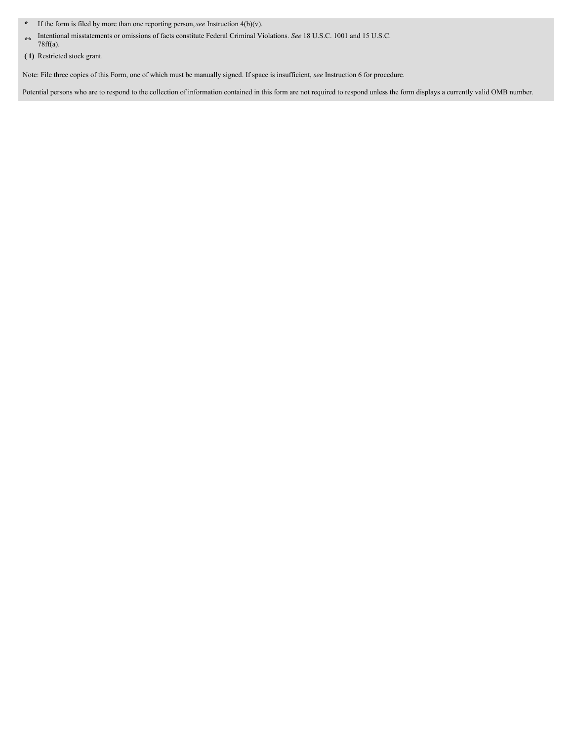- **\*** If the form is filed by more than one reporting person,*see* Instruction 4(b)(v).
- **\*\*** Intentional misstatements or omissions of facts constitute Federal Criminal Violations. *See* 18 U.S.C. 1001 and 15 U.S.C. 78ff(a).

Note: File three copies of this Form, one of which must be manually signed. If space is insufficient, *see* Instruction 6 for procedure.

Potential persons who are to respond to the collection of information contained in this form are not required to respond unless the form displays a currently valid OMB number.

**<sup>(</sup> 1)** Restricted stock grant.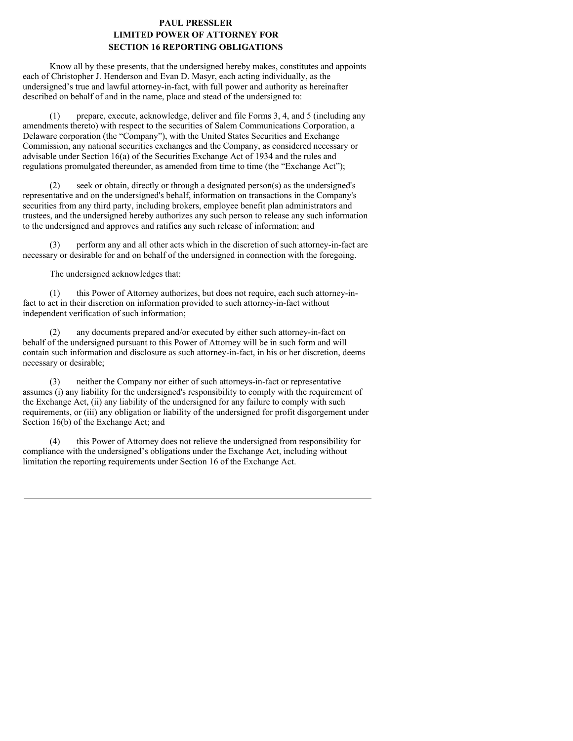### **PAUL PRESSLER LIMITED POWER OF ATTORNEY FOR SECTION 16 REPORTING OBLIGATIONS**

Know all by these presents, that the undersigned hereby makes, constitutes and appoints each of Christopher J. Henderson and Evan D. Masyr, each acting individually, as the undersigned's true and lawful attorney-in-fact, with full power and authority as hereinafter described on behalf of and in the name, place and stead of the undersigned to:

(1) prepare, execute, acknowledge, deliver and file Forms 3, 4, and 5 (including any amendments thereto) with respect to the securities of Salem Communications Corporation, a Delaware corporation (the "Company"), with the United States Securities and Exchange Commission, any national securities exchanges and the Company, as considered necessary or advisable under Section 16(a) of the Securities Exchange Act of 1934 and the rules and regulations promulgated thereunder, as amended from time to time (the "Exchange Act");

(2) seek or obtain, directly or through a designated person(s) as the undersigned's representative and on the undersigned's behalf, information on transactions in the Company's securities from any third party, including brokers, employee benefit plan administrators and trustees, and the undersigned hereby authorizes any such person to release any such information to the undersigned and approves and ratifies any such release of information; and

(3) perform any and all other acts which in the discretion of such attorney-in-fact are necessary or desirable for and on behalf of the undersigned in connection with the foregoing.

The undersigned acknowledges that:

(1) this Power of Attorney authorizes, but does not require, each such attorney-infact to act in their discretion on information provided to such attorney-in-fact without independent verification of such information;

(2) any documents prepared and/or executed by either such attorney-in-fact on behalf of the undersigned pursuant to this Power of Attorney will be in such form and will contain such information and disclosure as such attorney-in-fact, in his or her discretion, deems necessary or desirable;

(3) neither the Company nor either of such attorneys-in-fact or representative assumes (i) any liability for the undersigned's responsibility to comply with the requirement of the Exchange Act, (ii) any liability of the undersigned for any failure to comply with such requirements, or (iii) any obligation or liability of the undersigned for profit disgorgement under Section 16(b) of the Exchange Act; and

(4) this Power of Attorney does not relieve the undersigned from responsibility for compliance with the undersigned's obligations under the Exchange Act, including without limitation the reporting requirements under Section 16 of the Exchange Act.